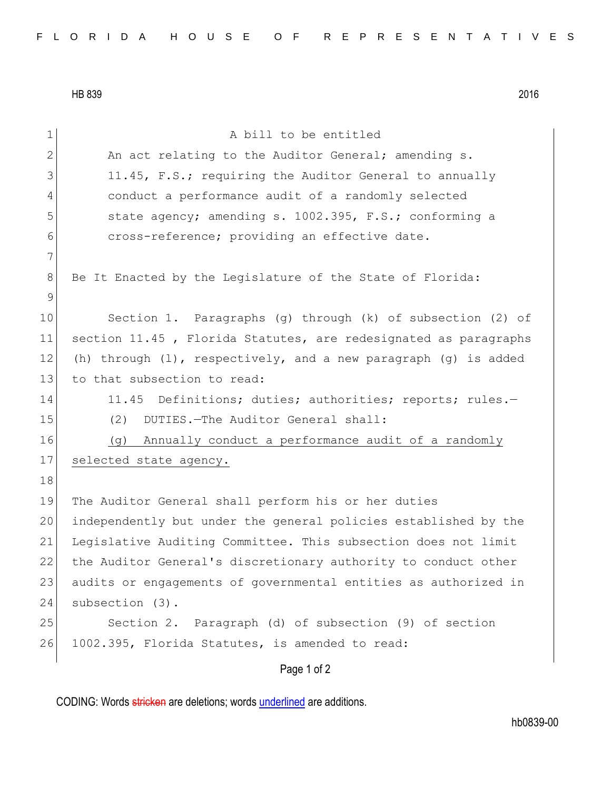HB 839 2016

Page 1 of 2 1 a bill to be entitled 2 An act relating to the Auditor General; amending s. 3 11.45, F.S.; requiring the Auditor General to annually 4 conduct a performance audit of a randomly selected 5 5 state agency; amending s. 1002.395, F.S.; conforming a 6 cross-reference; providing an effective date. 7 8 Be It Enacted by the Legislature of the State of Florida: 9 10 Section 1. Paragraphs (g) through (k) of subsection (2) of 11 section 11.45 , Florida Statutes, are redesignated as paragraphs 12 (h) through  $(1)$ , respectively, and a new paragraph  $(q)$  is added 13 to that subsection to read: 14 11.45 Definitions; duties; authorities; reports; rules.-15 (2) DUTIES. - The Auditor General shall: 16 (g) Annually conduct a performance audit of a randomly 17 selected state agency. 18 19 The Auditor General shall perform his or her duties 20 independently but under the general policies established by the 21 Legislative Auditing Committee. This subsection does not limit 22 the Auditor General's discretionary authority to conduct other 23 audits or engagements of governmental entities as authorized in 24 subsection (3). 25 Section 2. Paragraph (d) of subsection (9) of section 26 1002.395, Florida Statutes, is amended to read:

CODING: Words stricken are deletions; words underlined are additions.